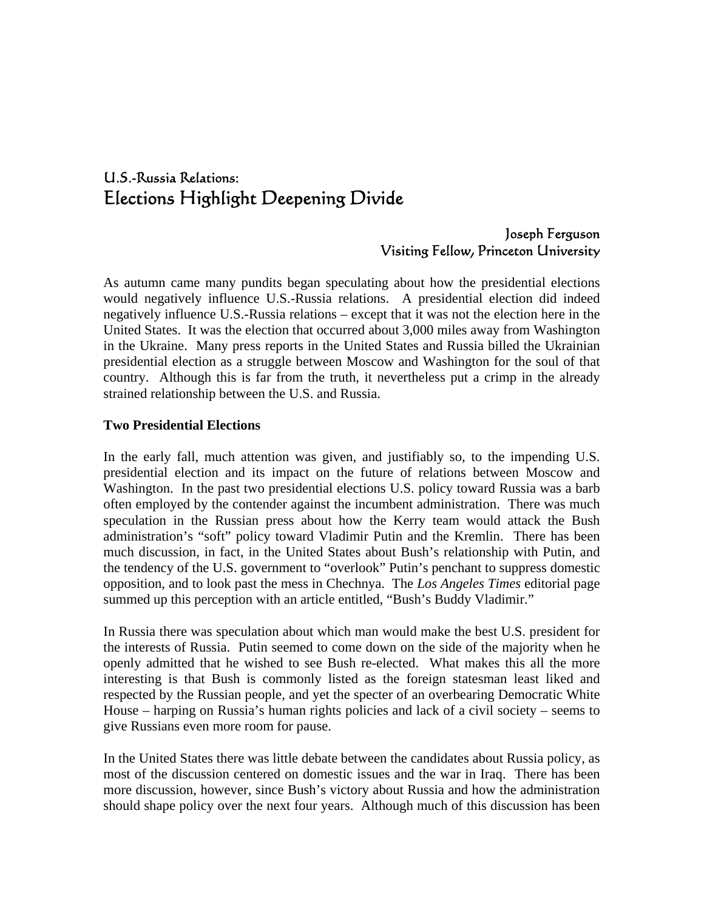# U.S.-Russia Relations: Elections Highlight Deepening Divide

### Joseph Ferguson Visiting Fellow, Princeton University

As autumn came many pundits began speculating about how the presidential elections would negatively influence U.S.-Russia relations. A presidential election did indeed negatively influence U.S.-Russia relations – except that it was not the election here in the United States. It was the election that occurred about 3,000 miles away from Washington in the Ukraine. Many press reports in the United States and Russia billed the Ukrainian presidential election as a struggle between Moscow and Washington for the soul of that country. Although this is far from the truth, it nevertheless put a crimp in the already strained relationship between the U.S. and Russia.

#### **Two Presidential Elections**

In the early fall, much attention was given, and justifiably so, to the impending U.S. presidential election and its impact on the future of relations between Moscow and Washington. In the past two presidential elections U.S. policy toward Russia was a barb often employed by the contender against the incumbent administration. There was much speculation in the Russian press about how the Kerry team would attack the Bush administration's "soft" policy toward Vladimir Putin and the Kremlin. There has been much discussion, in fact, in the United States about Bush's relationship with Putin, and the tendency of the U.S. government to "overlook" Putin's penchant to suppress domestic opposition, and to look past the mess in Chechnya. The *Los Angeles Times* editorial page summed up this perception with an article entitled, "Bush's Buddy Vladimir."

In Russia there was speculation about which man would make the best U.S. president for the interests of Russia. Putin seemed to come down on the side of the majority when he openly admitted that he wished to see Bush re-elected. What makes this all the more interesting is that Bush is commonly listed as the foreign statesman least liked and respected by the Russian people, and yet the specter of an overbearing Democratic White House – harping on Russia's human rights policies and lack of a civil society – seems to give Russians even more room for pause.

In the United States there was little debate between the candidates about Russia policy, as most of the discussion centered on domestic issues and the war in Iraq. There has been more discussion, however, since Bush's victory about Russia and how the administration should shape policy over the next four years. Although much of this discussion has been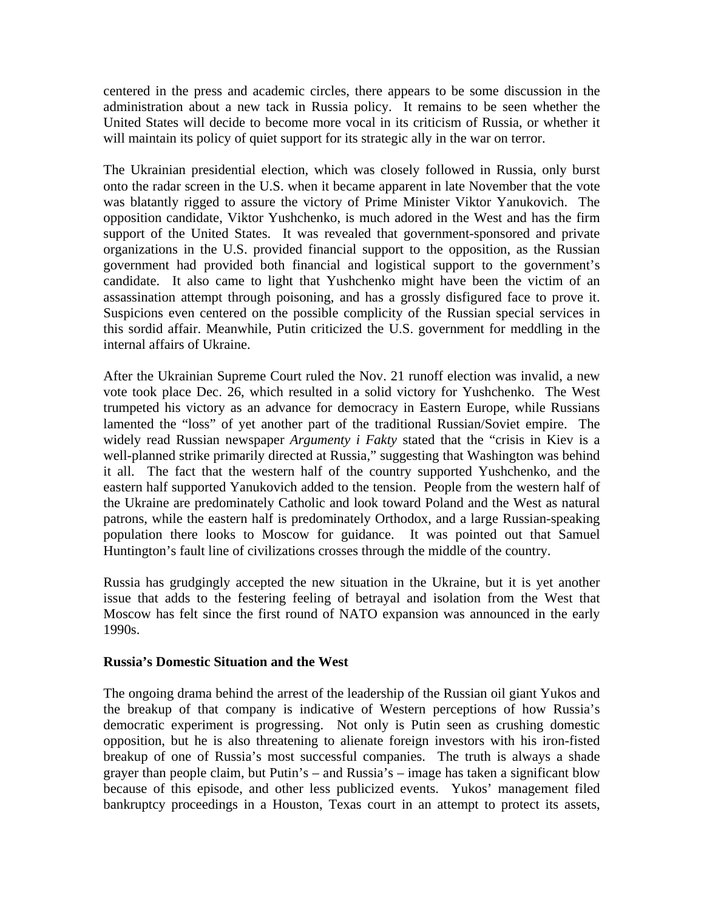centered in the press and academic circles, there appears to be some discussion in the administration about a new tack in Russia policy. It remains to be seen whether the United States will decide to become more vocal in its criticism of Russia, or whether it will maintain its policy of quiet support for its strategic ally in the war on terror.

The Ukrainian presidential election, which was closely followed in Russia, only burst onto the radar screen in the U.S. when it became apparent in late November that the vote was blatantly rigged to assure the victory of Prime Minister Viktor Yanukovich. The opposition candidate, Viktor Yushchenko, is much adored in the West and has the firm support of the United States. It was revealed that government-sponsored and private organizations in the U.S. provided financial support to the opposition, as the Russian government had provided both financial and logistical support to the government's candidate. It also came to light that Yushchenko might have been the victim of an assassination attempt through poisoning, and has a grossly disfigured face to prove it. Suspicions even centered on the possible complicity of the Russian special services in this sordid affair. Meanwhile, Putin criticized the U.S. government for meddling in the internal affairs of Ukraine.

After the Ukrainian Supreme Court ruled the Nov. 21 runoff election was invalid, a new vote took place Dec. 26, which resulted in a solid victory for Yushchenko. The West trumpeted his victory as an advance for democracy in Eastern Europe, while Russians lamented the "loss" of yet another part of the traditional Russian/Soviet empire. The widely read Russian newspaper *Argumenty i Fakty* stated that the "crisis in Kiev is a well-planned strike primarily directed at Russia," suggesting that Washington was behind it all. The fact that the western half of the country supported Yushchenko, and the eastern half supported Yanukovich added to the tension. People from the western half of the Ukraine are predominately Catholic and look toward Poland and the West as natural patrons, while the eastern half is predominately Orthodox, and a large Russian-speaking population there looks to Moscow for guidance. It was pointed out that Samuel Huntington's fault line of civilizations crosses through the middle of the country.

Russia has grudgingly accepted the new situation in the Ukraine, but it is yet another issue that adds to the festering feeling of betrayal and isolation from the West that Moscow has felt since the first round of NATO expansion was announced in the early 1990s.

#### **Russia's Domestic Situation and the West**

The ongoing drama behind the arrest of the leadership of the Russian oil giant Yukos and the breakup of that company is indicative of Western perceptions of how Russia's democratic experiment is progressing. Not only is Putin seen as crushing domestic opposition, but he is also threatening to alienate foreign investors with his iron-fisted breakup of one of Russia's most successful companies. The truth is always a shade grayer than people claim, but Putin's – and Russia's – image has taken a significant blow because of this episode, and other less publicized events. Yukos' management filed bankruptcy proceedings in a Houston, Texas court in an attempt to protect its assets,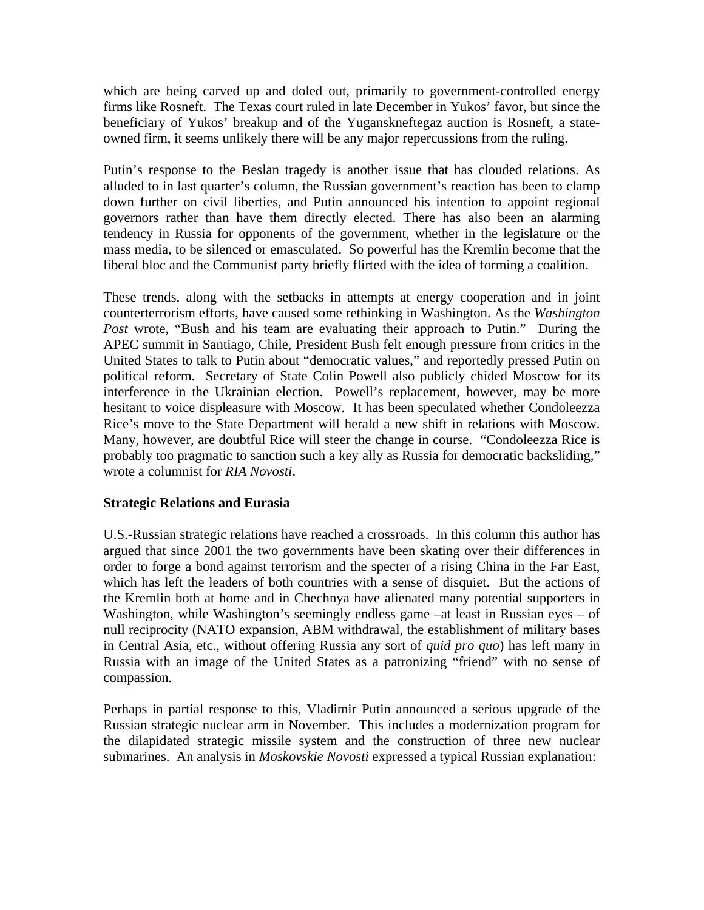which are being carved up and doled out, primarily to government-controlled energy firms like Rosneft. The Texas court ruled in late December in Yukos' favor, but since the beneficiary of Yukos' breakup and of the Yuganskneftegaz auction is Rosneft, a stateowned firm, it seems unlikely there will be any major repercussions from the ruling.

Putin's response to the Beslan tragedy is another issue that has clouded relations. As alluded to in last quarter's column, the Russian government's reaction has been to clamp down further on civil liberties, and Putin announced his intention to appoint regional governors rather than have them directly elected. There has also been an alarming tendency in Russia for opponents of the government, whether in the legislature or the mass media, to be silenced or emasculated. So powerful has the Kremlin become that the liberal bloc and the Communist party briefly flirted with the idea of forming a coalition.

These trends, along with the setbacks in attempts at energy cooperation and in joint counterterrorism efforts, have caused some rethinking in Washington. As the *Washington Post* wrote, "Bush and his team are evaluating their approach to Putin." During the APEC summit in Santiago, Chile, President Bush felt enough pressure from critics in the United States to talk to Putin about "democratic values," and reportedly pressed Putin on political reform. Secretary of State Colin Powell also publicly chided Moscow for its interference in the Ukrainian election. Powell's replacement, however, may be more hesitant to voice displeasure with Moscow. It has been speculated whether Condoleezza Rice's move to the State Department will herald a new shift in relations with Moscow. Many, however, are doubtful Rice will steer the change in course. "Condoleezza Rice is probably too pragmatic to sanction such a key ally as Russia for democratic backsliding," wrote a columnist for *RIA Novosti*.

#### **Strategic Relations and Eurasia**

U.S.-Russian strategic relations have reached a crossroads. In this column this author has argued that since 2001 the two governments have been skating over their differences in order to forge a bond against terrorism and the specter of a rising China in the Far East, which has left the leaders of both countries with a sense of disquiet. But the actions of the Kremlin both at home and in Chechnya have alienated many potential supporters in Washington, while Washington's seemingly endless game –at least in Russian eyes – of null reciprocity (NATO expansion, ABM withdrawal, the establishment of military bases in Central Asia, etc., without offering Russia any sort of *quid pro quo*) has left many in Russia with an image of the United States as a patronizing "friend" with no sense of compassion.

Perhaps in partial response to this, Vladimir Putin announced a serious upgrade of the Russian strategic nuclear arm in November. This includes a modernization program for the dilapidated strategic missile system and the construction of three new nuclear submarines. An analysis in *Moskovskie Novosti* expressed a typical Russian explanation: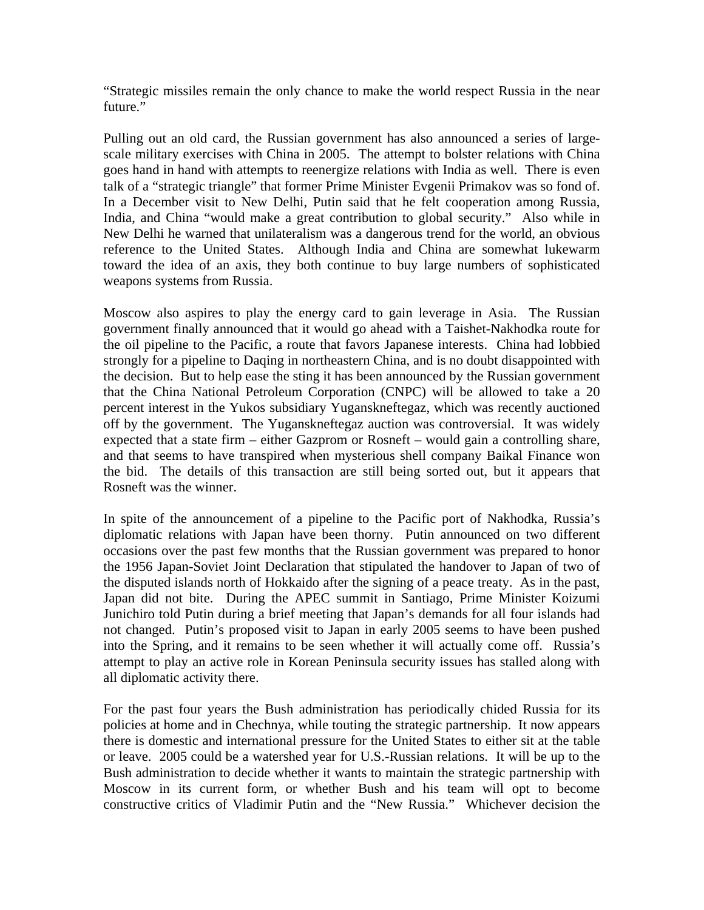"Strategic missiles remain the only chance to make the world respect Russia in the near future."

Pulling out an old card, the Russian government has also announced a series of largescale military exercises with China in 2005. The attempt to bolster relations with China goes hand in hand with attempts to reenergize relations with India as well. There is even talk of a "strategic triangle" that former Prime Minister Evgenii Primakov was so fond of. In a December visit to New Delhi, Putin said that he felt cooperation among Russia, India, and China "would make a great contribution to global security." Also while in New Delhi he warned that unilateralism was a dangerous trend for the world, an obvious reference to the United States. Although India and China are somewhat lukewarm toward the idea of an axis, they both continue to buy large numbers of sophisticated weapons systems from Russia.

Moscow also aspires to play the energy card to gain leverage in Asia. The Russian government finally announced that it would go ahead with a Taishet-Nakhodka route for the oil pipeline to the Pacific, a route that favors Japanese interests. China had lobbied strongly for a pipeline to Daqing in northeastern China, and is no doubt disappointed with the decision. But to help ease the sting it has been announced by the Russian government that the China National Petroleum Corporation (CNPC) will be allowed to take a 20 percent interest in the Yukos subsidiary Yuganskneftegaz, which was recently auctioned off by the government. The Yuganskneftegaz auction was controversial. It was widely expected that a state firm – either Gazprom or Rosneft – would gain a controlling share, and that seems to have transpired when mysterious shell company Baikal Finance won the bid. The details of this transaction are still being sorted out, but it appears that Rosneft was the winner.

In spite of the announcement of a pipeline to the Pacific port of Nakhodka, Russia's diplomatic relations with Japan have been thorny. Putin announced on two different occasions over the past few months that the Russian government was prepared to honor the 1956 Japan-Soviet Joint Declaration that stipulated the handover to Japan of two of the disputed islands north of Hokkaido after the signing of a peace treaty. As in the past, Japan did not bite. During the APEC summit in Santiago, Prime Minister Koizumi Junichiro told Putin during a brief meeting that Japan's demands for all four islands had not changed. Putin's proposed visit to Japan in early 2005 seems to have been pushed into the Spring, and it remains to be seen whether it will actually come off. Russia's attempt to play an active role in Korean Peninsula security issues has stalled along with all diplomatic activity there.

For the past four years the Bush administration has periodically chided Russia for its policies at home and in Chechnya, while touting the strategic partnership. It now appears there is domestic and international pressure for the United States to either sit at the table or leave. 2005 could be a watershed year for U.S.-Russian relations. It will be up to the Bush administration to decide whether it wants to maintain the strategic partnership with Moscow in its current form, or whether Bush and his team will opt to become constructive critics of Vladimir Putin and the "New Russia." Whichever decision the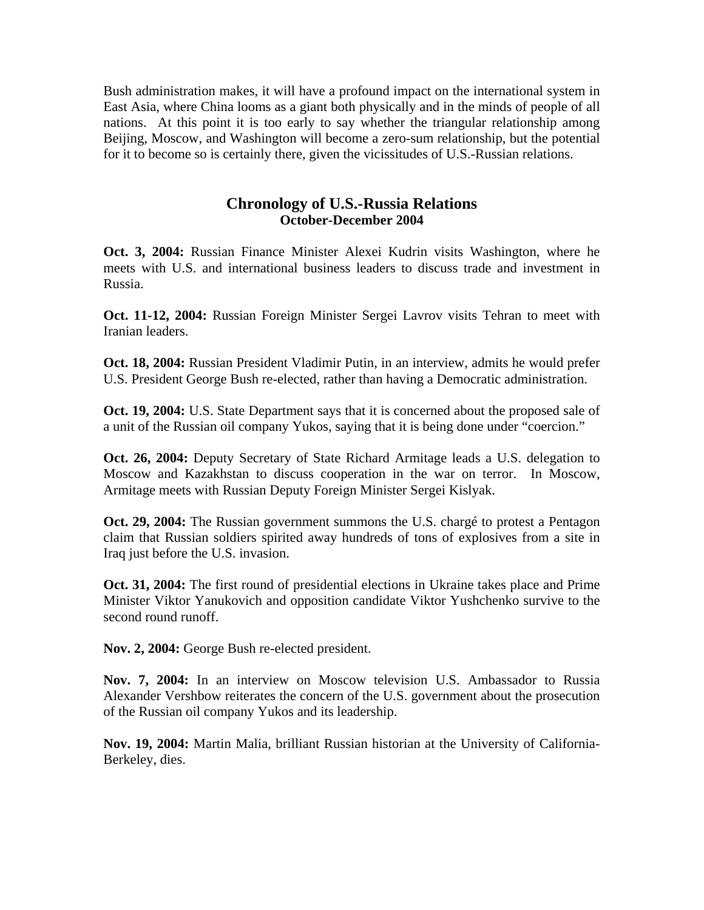Bush administration makes, it will have a profound impact on the international system in East Asia, where China looms as a giant both physically and in the minds of people of all nations. At this point it is too early to say whether the triangular relationship among Beijing, Moscow, and Washington will become a zero-sum relationship, but the potential for it to become so is certainly there, given the vicissitudes of U.S.-Russian relations.

## **Chronology of U.S.-Russia Relations October-December 2004**

**Oct. 3, 2004:** Russian Finance Minister Alexei Kudrin visits Washington, where he meets with U.S. and international business leaders to discuss trade and investment in Russia.

**Oct. 11-12, 2004:** Russian Foreign Minister Sergei Lavrov visits Tehran to meet with Iranian leaders.

**Oct. 18, 2004:** Russian President Vladimir Putin, in an interview, admits he would prefer U.S. President George Bush re-elected, rather than having a Democratic administration.

**Oct. 19, 2004:** U.S. State Department says that it is concerned about the proposed sale of a unit of the Russian oil company Yukos, saying that it is being done under "coercion."

**Oct. 26, 2004:** Deputy Secretary of State Richard Armitage leads a U.S. delegation to Moscow and Kazakhstan to discuss cooperation in the war on terror. In Moscow, Armitage meets with Russian Deputy Foreign Minister Sergei Kislyak.

**Oct. 29, 2004:** The Russian government summons the U.S. chargé to protest a Pentagon claim that Russian soldiers spirited away hundreds of tons of explosives from a site in Iraq just before the U.S. invasion.

**Oct. 31, 2004:** The first round of presidential elections in Ukraine takes place and Prime Minister Viktor Yanukovich and opposition candidate Viktor Yushchenko survive to the second round runoff.

**Nov. 2, 2004:** George Bush re-elected president.

**Nov. 7, 2004:** In an interview on Moscow television U.S. Ambassador to Russia Alexander Vershbow reiterates the concern of the U.S. government about the prosecution of the Russian oil company Yukos and its leadership.

**Nov. 19, 2004:** Martin Malia, brilliant Russian historian at the University of California-Berkeley, dies.